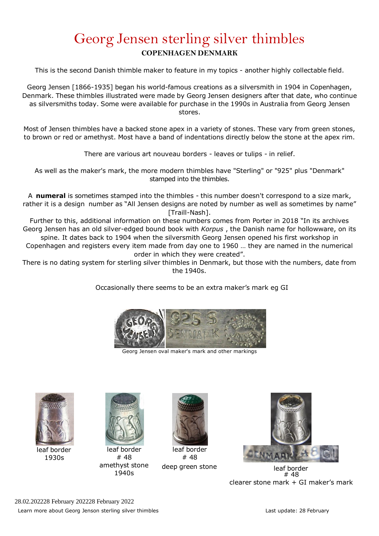## Georg Jensen sterling silver thimbles **COPENHAGEN DENMARK**

This is the second Danish thimble maker to feature in my topics - another highly collectable field.

Georg Jensen [1866-1935] began his world-famous creations as a silversmith in 1904 in Copenhagen, Denmark. These thimbles illustrated were made by Georg Jensen designers after that date, who continue as silversmiths today. Some were available for purchase in the 1990s in Australia from Georg Jensen stores.

Most of Jensen thimbles have a backed stone apex in a variety of stones. These vary from green stones, to brown or red or amethyst. Most have a band of indentations directly below the stone at the apex rim.

There are various art nouveau borders - leaves or tulips - in relief.

As well as the maker's mark, the more modern thimbles have "Sterling" or "925" plus "Denmark" stamped into the thimbles.

A **numeral** is sometimes stamped into the thimbles - this number doesn't correspond to a size mark, rather it is a design number as "All Jensen designs are noted by number as well as sometimes by name" [Traill-Nash].

Further to this, additional information on these numbers comes from Porter in 2018 "In its archives Georg Jensen has an old silver-edged bound book with *Korpus* , the Danish name for hollowware, on its spine. It dates back to 1904 when the silversmith Georg Jensen opened his first workshop in

Copenhagen and registers every item made from day one to 1960 … they are named in the numerical order in which they were created".

There is no dating system for sterling silver thimbles in Denmark, but those with the numbers, date from the 1940s.

Occasionally there seems to be an extra maker's mark eg GI



Georg Jensen oval maker's mark and other markings



1930s



# 48 amethyst stone 1940s



leaf border # 48



deep green stone leaf border # 48 clearer stone mark + GI maker's mark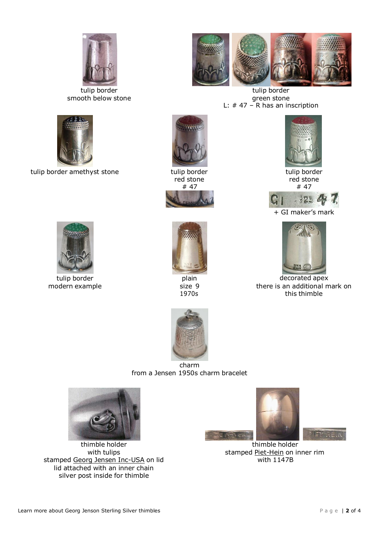

tulip border smooth below stone



tulip border amethyst stone tulip border



tulip border green stone L: # 47 – R has an inscription



red stone # 47



plain size 9 1970s



tulip border red stone # 47



 $153$ 



decorated apex there is an additional mark on this thimble



tulip border modern example



charm from a Jensen 1950s charm bracelet



thimble holder with tulips stamped Georg Jensen Inc-USA on lid lid attached with an inner chain silver post inside for thimble





thimble holder stamped Piet-Hein on inner rim with 1147B